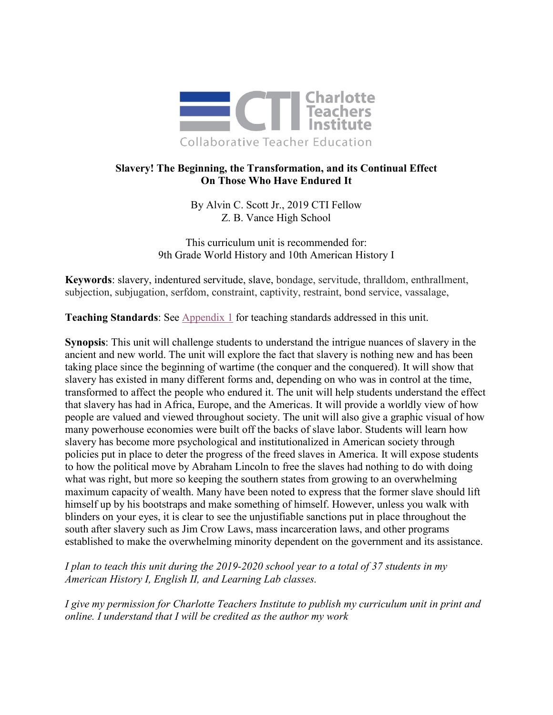

# **Slavery! The Beginning, the Transformation, and its Continual Effect On Those Who Have Endured It**

By Alvin C. Scott Jr., 2019 CTI Fellow Z. B. Vance High School

This curriculum unit is recommended for: 9th Grade World History and 10th American History I

**Keywords**: slavery, indentured servitude, slave, bondage, servitude, thralldom, enthrallment, subjection, subjugation, serfdom, constraint, captivity, restraint, bond service, vassalage,

**Teaching Standards**: See [Appendix 1](#page-10-0) for teaching standards addressed in this unit.

**Synopsis**: This unit will challenge students to understand the intrigue nuances of slavery in the ancient and new world. The unit will explore the fact that slavery is nothing new and has been taking place since the beginning of wartime (the conquer and the conquered). It will show that slavery has existed in many different forms and, depending on who was in control at the time, transformed to affect the people who endured it. The unit will help students understand the effect that slavery has had in Africa, Europe, and the Americas. It will provide a worldly view of how people are valued and viewed throughout society. The unit will also give a graphic visual of how many powerhouse economies were built off the backs of slave labor. Students will learn how slavery has become more psychological and institutionalized in American society through policies put in place to deter the progress of the freed slaves in America. It will expose students to how the political move by Abraham Lincoln to free the slaves had nothing to do with doing what was right, but more so keeping the southern states from growing to an overwhelming maximum capacity of wealth. Many have been noted to express that the former slave should lift himself up by his bootstraps and make something of himself. However, unless you walk with blinders on your eyes, it is clear to see the unjustifiable sanctions put in place throughout the south after slavery such as Jim Crow Laws, mass incarceration laws, and other programs established to make the overwhelming minority dependent on the government and its assistance.

*I plan to teach this unit during the 2019-2020 school year to a total of 37 students in my American History I, English II, and Learning Lab classes.*

*I give my permission for Charlotte Teachers Institute to publish my curriculum unit in print and online. I understand that I will be credited as the author my work*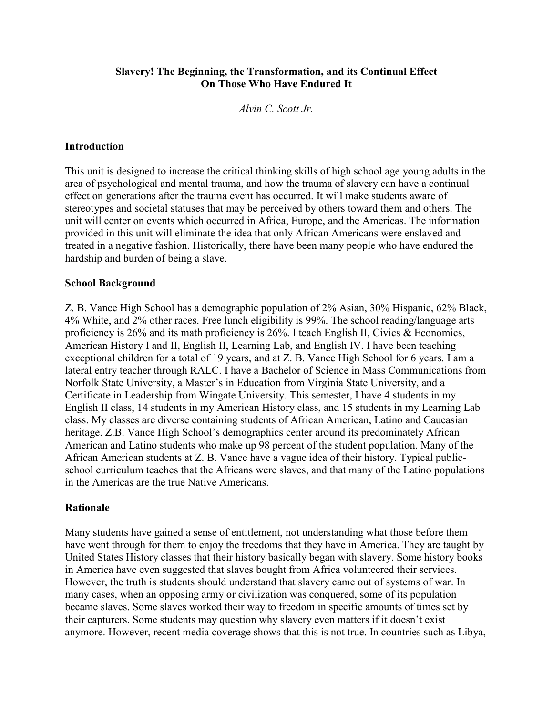# **Slavery! The Beginning, the Transformation, and its Continual Effect On Those Who Have Endured It**

*Alvin C. Scott Jr.*

### **Introduction**

This unit is designed to increase the critical thinking skills of high school age young adults in the area of psychological and mental trauma, and how the trauma of slavery can have a continual effect on generations after the trauma event has occurred. It will make students aware of stereotypes and societal statuses that may be perceived by others toward them and others. The unit will center on events which occurred in Africa, Europe, and the Americas. The information provided in this unit will eliminate the idea that only African Americans were enslaved and treated in a negative fashion. Historically, there have been many people who have endured the hardship and burden of being a slave.

### **School Background**

Z. B. Vance High School has a demographic population of 2% Asian, 30% Hispanic, 62% Black, 4% White, and 2% other races. Free lunch eligibility is 99%. The school reading/language arts proficiency is 26% and its math proficiency is 26%. I teach English II, Civics & Economics, American History I and II, English II, Learning Lab, and English IV. I have been teaching exceptional children for a total of 19 years, and at Z. B. Vance High School for 6 years. I am a lateral entry teacher through RALC. I have a Bachelor of Science in Mass Communications from Norfolk State University, a Master's in Education from Virginia State University, and a Certificate in Leadership from Wingate University. This semester, I have 4 students in my English II class, 14 students in my American History class, and 15 students in my Learning Lab class. My classes are diverse containing students of African American, Latino and Caucasian heritage. Z.B. Vance High School's demographics center around its predominately African American and Latino students who make up 98 percent of the student population. Many of the African American students at Z. B. Vance have a vague idea of their history. Typical publicschool curriculum teaches that the Africans were slaves, and that many of the Latino populations in the Americas are the true Native Americans.

### **Rationale**

Many students have gained a sense of entitlement, not understanding what those before them have went through for them to enjoy the freedoms that they have in America. They are taught by United States History classes that their history basically began with slavery. Some history books in America have even suggested that slaves bought from Africa volunteered their services. However, the truth is students should understand that slavery came out of systems of war. In many cases, when an opposing army or civilization was conquered, some of its population became slaves. Some slaves worked their way to freedom in specific amounts of times set by their capturers. Some students may question why slavery even matters if it doesn't exist anymore. However, recent media coverage shows that this is not true. In countries such as Libya,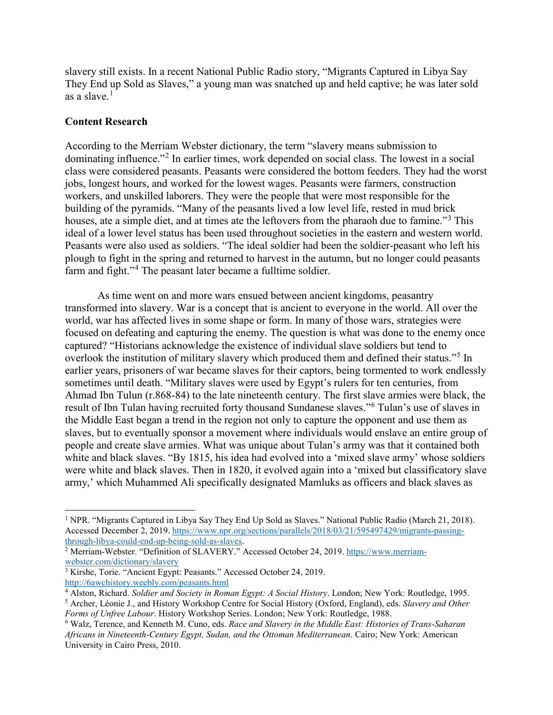slavery still exists. In a recent National Public Radio story, "Migrants Captured in Libya Say They End up Sold as Slaves," a young man was snatched up and held captive; he was later sold as a slave. $<sup>1</sup>$  $<sup>1</sup>$  $<sup>1</sup>$ </sup>

### **Content Research**

l

According to the Merriam Webster dictionary, the term "slavery means submission to dominating influence."[2](#page-2-1) In earlier times, work depended on social class. The lowest in a social class were considered peasants. Peasants were considered the bottom feeders. They had the worst jobs, longest hours, and worked for the lowest wages. Peasants were farmers, construction workers, and unskilled laborers. They were the people that were most responsible for the building of the pyramids. "Many of the peasants lived a low level life, rested in mud brick houses, ate a simple diet, and at times ate the leftovers from the pharaoh due to famine."<sup>[3](#page-2-2)</sup> This ideal of a lower level status has been used throughout societies in the eastern and western world. Peasants were also used as soldiers. "The ideal soldier had been the soldier-peasant who left his plough to fight in the spring and returned to harvest in the autumn, but no longer could peasants farm and fight."<sup>[4](#page-2-3)</sup> The peasant later became a fulltime soldier.

As time went on and more wars ensued between ancient kingdoms, peasantry transformed into slavery. War is a concept that is ancient to everyone in the world. All over the world, war has affected lives in some shape or form. In many of those wars, strategies were focused on defeating and capturing the enemy. The question is what was done to the enemy once captured? "Historians acknowledge the existence of individual slave soldiers but tend to overlook the institution of military slavery which produced them and defined their status."<sup>[5](#page-2-4)</sup> In earlier years, prisoners of war became slaves for their captors, being tormented to work endlessly sometimes until death. "Military slaves were used by Egypt's rulers for ten centuries, from Ahmad Ibn Tulun (r.868-84) to the late nineteenth century. The first slave armies were black, the result of Ibn Tulan having recruited forty thousand Sundanese slaves."[6](#page-2-5) Tulan's use of slaves in the Middle East began a trend in the region not only to capture the opponent and use them as slaves, but to eventually sponsor a movement where individuals would enslave an entire group of people and create slave armies. What was unique about Tulan's army was that it contained both white and black slaves. "By 1815, his idea had evolved into a 'mixed slave army' whose soldiers were white and black slaves. Then in 1820, it evolved again into a 'mixed but classificatory slave army,' which Muhammed Ali specifically designated Mamluks as officers and black slaves as

<span id="page-2-0"></span><sup>&</sup>lt;sup>1</sup> NPR. "Migrants Captured in Libya Say They End Up Sold as Slaves." National Public Radio (March 21, 2018). Accessed December 2, 2019. [https://www.npr.org/sections/parallels/2018/03/21/595497429/migrants-passing](https://www.npr.org/sections/parallels/2018/03/21/595497429/migrants-passing-through-libya-could-end-up-being-sold-as-slaves)[through-libya-could-end-up-being-sold-as-slaves.](https://www.npr.org/sections/parallels/2018/03/21/595497429/migrants-passing-through-libya-could-end-up-being-sold-as-slaves)

<span id="page-2-1"></span><sup>&</sup>lt;sup>2</sup> Merriam-Webster. "Definition of SLAVERY." Accessed October 24, 2019. [https://www.merriam](https://www.merriam-webster.com/dictionary/slavery)[webster.com/dictionary/slavery](https://www.merriam-webster.com/dictionary/slavery)

<span id="page-2-2"></span><sup>&</sup>lt;sup>3</sup> Kirshe, Torie. "Ancient Egypt: Peasants." Accessed October 24, 2019. <http://6awchistory.weebly.com/peasants.html>

<span id="page-2-4"></span><span id="page-2-3"></span><sup>4</sup> Alston, Richard. *Soldier and Society in Roman Egypt: A Social History*. London; New York: Routledge, 1995. <sup>5</sup> Archer, Léonie J., and History Workshop Centre for Social History (Oxford, England), eds. *Slavery and Other Forms of Unfree Labour*. History Workshop Series. London; New York: Routledge, 1988.

<span id="page-2-5"></span><sup>6</sup> Walz, Terence, and Kenneth M. Cuno, eds. *Race and Slavery in the Middle East: Histories of Trans-Saharan Africans in Nineteenth-Century Egypt, Sudan, and the Ottoman Mediterranean*. Cairo; New York: American University in Cairo Press, 2010.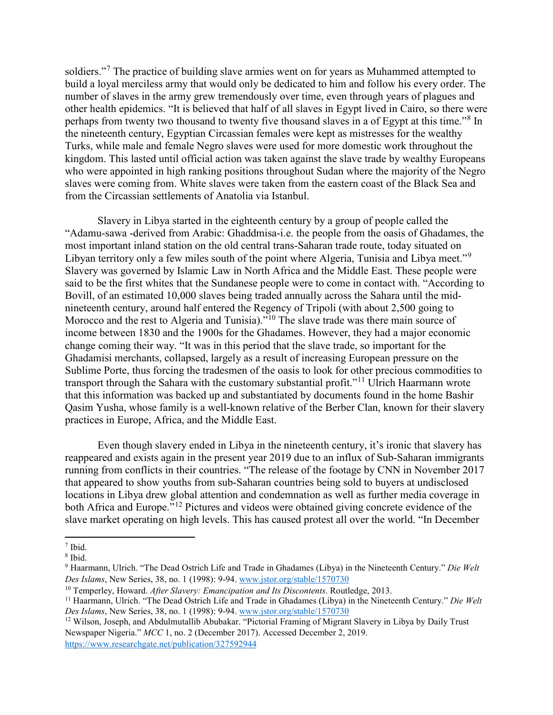soldiers."<sup>[7](#page-3-0)</sup> The practice of building slave armies went on for years as Muhammed attempted to build a loyal merciless army that would only be dedicated to him and follow his every order. The number of slaves in the army grew tremendously over time, even through years of plagues and other health epidemics. "It is believed that half of all slaves in Egypt lived in Cairo, so there were perhaps from twenty two thousand to twenty five thousand slaves in a of Egypt at this time."[8](#page-3-1) In the nineteenth century, Egyptian Circassian females were kept as mistresses for the wealthy Turks, while male and female Negro slaves were used for more domestic work throughout the kingdom. This lasted until official action was taken against the slave trade by wealthy Europeans who were appointed in high ranking positions throughout Sudan where the majority of the Negro slaves were coming from. White slaves were taken from the eastern coast of the Black Sea and from the Circassian settlements of Anatolia via Istanbul.

Slavery in Libya started in the eighteenth century by a group of people called the "Adamu-sawa -derived from Arabic: Ghaddmisa-i.e. the people from the oasis of Ghadames, the most important inland station on the old central trans-Saharan trade route, today situated on Libyan territory only a few miles south of the point where Algeria, Tunisia and Libya meet."[9](#page-3-2) Slavery was governed by Islamic Law in North Africa and the Middle East. These people were said to be the first whites that the Sundanese people were to come in contact with. "According to Bovill, of an estimated 10,000 slaves being traded annually across the Sahara until the midnineteenth century, around half entered the Regency of Tripoli (with about 2,500 going to Morocco and the rest to Algeria and Tunisia).<sup>"[10](#page-3-3)</sup> The slave trade was there main source of income between 1830 and the 1900s for the Ghadames. However, they had a major economic change coming their way. "It was in this period that the slave trade, so important for the Ghadamisi merchants, collapsed, largely as a result of increasing European pressure on the Sublime Porte, thus forcing the tradesmen of the oasis to look for other precious commodities to transport through the Sahara with the customary substantial profit."<sup>[11](#page-3-4)</sup> Ulrich Haarmann wrote that this information was backed up and substantiated by documents found in the home Bashir Qasim Yusha, whose family is a well-known relative of the Berber Clan, known for their slavery practices in Europe, Africa, and the Middle East.

Even though slavery ended in Libya in the nineteenth century, it's ironic that slavery has reappeared and exists again in the present year 2019 due to an influx of Sub-Saharan immigrants running from conflicts in their countries. "The release of the footage by CNN in November 2017 that appeared to show youths from sub-Saharan countries being sold to buyers at undisclosed locations in Libya drew global attention and condemnation as well as further media coverage in both Africa and Europe."[12](#page-3-5) Pictures and videos were obtained giving concrete evidence of the slave market operating on high levels. This has caused protest all over the world. "In December

l

<span id="page-3-0"></span><sup>7</sup> Ibid.

<span id="page-3-1"></span><sup>8</sup> Ibid.

<span id="page-3-2"></span><sup>9</sup> Haarmann, Ulrich. "The Dead Ostrich Life and Trade in Ghadames (Libya) in the Nineteenth Century." *Die Welt Des Islams*, New Series, 38, no. 1 (1998): 9-94. [www.jstor.org/stable/1570730](http://www.jstor.org/stable/1570730)

<span id="page-3-3"></span><sup>10</sup> Temperley, Howard. *After Slavery: Emancipation and Its Discontents*. Routledge, 2013.

<span id="page-3-4"></span><sup>11</sup> Haarmann, Ulrich. "The Dead Ostrich Life and Trade in Ghadames (Libya) in the Nineteenth Century." *Die Welt Des Islams*, New Series, 38, no. 1 (1998): 9-94. [www.jstor.org/stable/1570730](http://www.jstor.org/stable/1570730)

<span id="page-3-5"></span><sup>&</sup>lt;sup>12</sup> Wilson, Joseph, and Abdulmutallib Abubakar. "Pictorial Framing of Migrant Slavery in Libya by Daily Trust Newspaper Nigeria." *MCC* 1, no. 2 (December 2017). Accessed December 2, 2019. <https://www.researchgate.net/publication/327592944>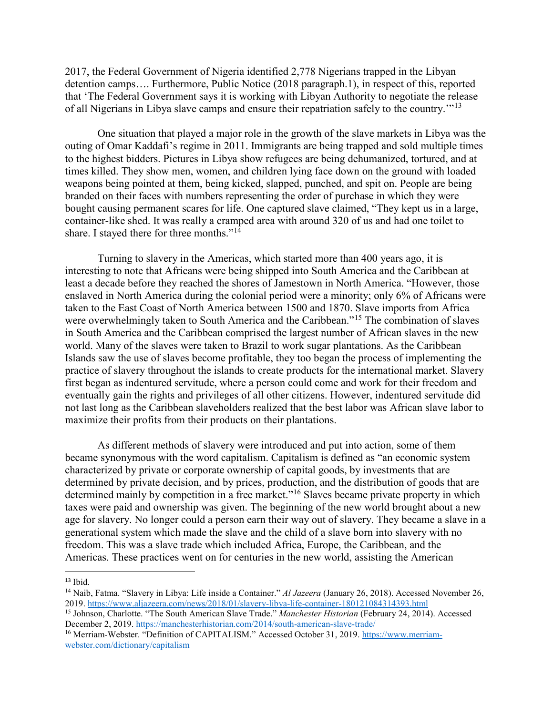2017, the Federal Government of Nigeria identified 2,778 Nigerians trapped in the Libyan detention camps…. Furthermore, Public Notice (2018 paragraph.1), in respect of this, reported that 'The Federal Government says it is working with Libyan Authority to negotiate the release of all Nigerians in Libya slave camps and ensure their repatriation safely to the country."<sup>[13](#page-4-0)</sup>

One situation that played a major role in the growth of the slave markets in Libya was the outing of Omar Kaddafi's regime in 2011. Immigrants are being trapped and sold multiple times to the highest bidders. Pictures in Libya show refugees are being dehumanized, tortured, and at times killed. They show men, women, and children lying face down on the ground with loaded weapons being pointed at them, being kicked, slapped, punched, and spit on. People are being branded on their faces with numbers representing the order of purchase in which they were bought causing permanent scares for life. One captured slave claimed, "They kept us in a large, container-like shed. It was really a cramped area with around 320 of us and had one toilet to share. I stayed there for three months."<sup>[14](#page-4-1)</sup>

Turning to slavery in the Americas, which started more than 400 years ago, it is interesting to note that Africans were being shipped into South America and the Caribbean at least a decade before they reached the shores of Jamestown in North America. "However, those enslaved in North America during the colonial period were a minority; only 6% of Africans were taken to the East Coast of North America between 1500 and 1870. Slave imports from Africa were overwhelmingly taken to South America and the Caribbean."<sup>[15](#page-4-2)</sup> The combination of slaves in South America and the Caribbean comprised the largest number of African slaves in the new world. Many of the slaves were taken to Brazil to work sugar plantations. As the Caribbean Islands saw the use of slaves become profitable, they too began the process of implementing the practice of slavery throughout the islands to create products for the international market. Slavery first began as indentured servitude, where a person could come and work for their freedom and eventually gain the rights and privileges of all other citizens. However, indentured servitude did not last long as the Caribbean slaveholders realized that the best labor was African slave labor to maximize their profits from their products on their plantations.

As different methods of slavery were introduced and put into action, some of them became synonymous with the word capitalism. Capitalism is defined as "an economic system characterized by private or corporate ownership of capital goods, by investments that are determined by private decision, and by prices, production, and the distribution of goods that are determined mainly by competition in a free market."<sup>[16](#page-4-3)</sup> Slaves became private property in which taxes were paid and ownership was given. The beginning of the new world brought about a new age for slavery. No longer could a person earn their way out of slavery. They became a slave in a generational system which made the slave and the child of a slave born into slavery with no freedom. This was a slave trade which included Africa, Europe, the Caribbean, and the Americas. These practices went on for centuries in the new world, assisting the American

<span id="page-4-0"></span> $13$  Ibid.

<span id="page-4-1"></span><sup>14</sup> Naib, Fatma. "Slavery in Libya: Life inside a Container." *Al Jazeera* (January 26, 2018). Accessed November 26, 2019.<https://www.aljazeera.com/news/2018/01/slavery-libya-life-container-180121084314393.html>

<span id="page-4-2"></span><sup>15</sup> Johnson, Charlotte. "The South American Slave Trade." *Manchester Historian* (February 24, 2014). Accessed December 2, 2019[. https://manchesterhistorian.com/2014/south-american-slave-trade/](https://manchesterhistorian.com/2014/south-american-slave-trade/)

<span id="page-4-3"></span><sup>&</sup>lt;sup>16</sup> Merriam-Webster. "Definition of CAPITALISM." Accessed October 31, 2019. [https://www.merriam](https://www.merriam-webster.com/dictionary/capitalism)[webster.com/dictionary/capitalism](https://www.merriam-webster.com/dictionary/capitalism)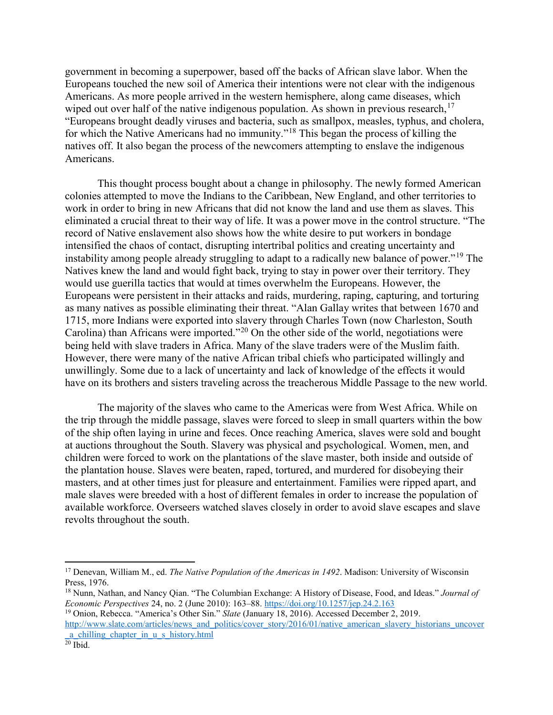government in becoming a superpower, based off the backs of African slave labor. When the Europeans touched the new soil of America their intentions were not clear with the indigenous Americans. As more people arrived in the western hemisphere, along came diseases, which wiped out over half of the native indigenous population. As shown in previous research,  $17$ "Europeans brought deadly viruses and bacteria, such as smallpox, measles, typhus, and cholera, for which the Native Americans had no immunity."[18](#page-5-1) This began the process of killing the natives off. It also began the process of the newcomers attempting to enslave the indigenous Americans.

This thought process bought about a change in philosophy. The newly formed American colonies attempted to move the Indians to the Caribbean, New England, and other territories to work in order to bring in new Africans that did not know the land and use them as slaves. This eliminated a crucial threat to their way of life. It was a power move in the control structure. "The record of Native enslavement also shows how the white desire to put workers in bondage intensified the chaos of contact, disrupting intertribal politics and creating uncertainty and instability among people already struggling to adapt to a radically new balance of power."[19](#page-5-2) The Natives knew the land and would fight back, trying to stay in power over their territory. They would use guerilla tactics that would at times overwhelm the Europeans. However, the Europeans were persistent in their attacks and raids, murdering, raping, capturing, and torturing as many natives as possible eliminating their threat. "Alan Gallay writes that between 1670 and 1715, more Indians were exported into slavery through Charles Town (now Charleston, South Carolina) than Africans were imported."[20](#page-5-3) On the other side of the world, negotiations were being held with slave traders in Africa. Many of the slave traders were of the Muslim faith. However, there were many of the native African tribal chiefs who participated willingly and unwillingly. Some due to a lack of uncertainty and lack of knowledge of the effects it would have on its brothers and sisters traveling across the treacherous Middle Passage to the new world.

The majority of the slaves who came to the Americas were from West Africa. While on the trip through the middle passage, slaves were forced to sleep in small quarters within the bow of the ship often laying in urine and feces. Once reaching America, slaves were sold and bought at auctions throughout the South. Slavery was physical and psychological. Women, men, and children were forced to work on the plantations of the slave master, both inside and outside of the plantation house. Slaves were beaten, raped, tortured, and murdered for disobeying their masters, and at other times just for pleasure and entertainment. Families were ripped apart, and male slaves were breeded with a host of different females in order to increase the population of available workforce. Overseers watched slaves closely in order to avoid slave escapes and slave revolts throughout the south.

l

<span id="page-5-0"></span><sup>17</sup> Denevan, William M., ed. *The Native Population of the Americas in 1492*. Madison: University of Wisconsin Press, 1976.

<span id="page-5-1"></span><sup>18</sup> Nunn, Nathan, and Nancy Qian. "The Columbian Exchange: A History of Disease, Food, and Ideas." *Journal of Economic Perspectives* 24, no. 2 (June 2010): 163–88.<https://doi.org/10.1257/jep.24.2.163>

<span id="page-5-2"></span><sup>19</sup> Onion, Rebecca. "America's Other Sin." *Slate* (January 18, 2016). Accessed December 2, 2019. [http://www.slate.com/articles/news\\_and\\_politics/cover\\_story/2016/01/native\\_american\\_slavery\\_historians\\_uncover](http://www.slate.com/articles/news_and_politics/cover_story/2016/01/native_american_slavery_historians_uncover_a_chilling_chapter_in_u_s_history.html)

<span id="page-5-3"></span>[\\_a\\_chilling\\_chapter\\_in\\_u\\_s\\_history.html](http://www.slate.com/articles/news_and_politics/cover_story/2016/01/native_american_slavery_historians_uncover_a_chilling_chapter_in_u_s_history.html)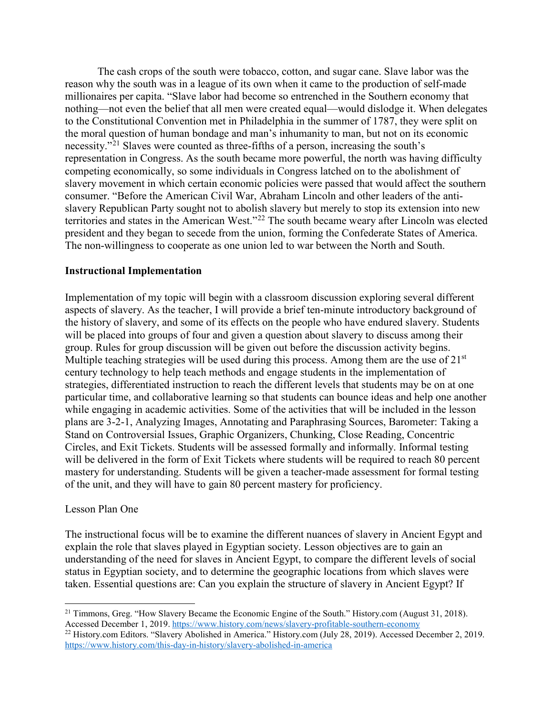The cash crops of the south were tobacco, cotton, and sugar cane. Slave labor was the reason why the south was in a league of its own when it came to the production of self-made millionaires per capita. "Slave labor had become so entrenched in the Southern economy that nothing—not even the belief that all men were created equal—would dislodge it. When delegates to the Constitutional Convention met in Philadelphia in the summer of 1787, they were split on the moral question of human bondage and man's inhumanity to man, but not on its economic necessity."[21](#page-6-0) Slaves were counted as three-fifths of a person, increasing the south's representation in Congress. As the south became more powerful, the north was having difficulty competing economically, so some individuals in Congress latched on to the abolishment of slavery movement in which certain economic policies were passed that would affect the southern consumer. "Before the American Civil War, Abraham Lincoln and other leaders of the antislavery Republican Party sought not to abolish slavery but merely to stop its extension into new territories and states in the American West."[22](#page-6-1) The south became weary after Lincoln was elected president and they began to secede from the union, forming the Confederate States of America. The non-willingness to cooperate as one union led to war between the North and South.

# **Instructional Implementation**

Implementation of my topic will begin with a classroom discussion exploring several different aspects of slavery. As the teacher, I will provide a brief ten-minute introductory background of the history of slavery, and some of its effects on the people who have endured slavery. Students will be placed into groups of four and given a question about slavery to discuss among their group. Rules for group discussion will be given out before the discussion activity begins. Multiple teaching strategies will be used during this process. Among them are the use of  $21<sup>st</sup>$ century technology to help teach methods and engage students in the implementation of strategies, differentiated instruction to reach the different levels that students may be on at one particular time, and collaborative learning so that students can bounce ideas and help one another while engaging in academic activities. Some of the activities that will be included in the lesson plans are 3-2-1, Analyzing Images, Annotating and Paraphrasing Sources, Barometer: Taking a Stand on Controversial Issues, Graphic Organizers, Chunking, Close Reading, Concentric Circles, and Exit Tickets. Students will be assessed formally and informally. Informal testing will be delivered in the form of Exit Tickets where students will be required to reach 80 percent mastery for understanding. Students will be given a teacher-made assessment for formal testing of the unit, and they will have to gain 80 percent mastery for proficiency.

### Lesson Plan One

The instructional focus will be to examine the different nuances of slavery in Ancient Egypt and explain the role that slaves played in Egyptian society. Lesson objectives are to gain an understanding of the need for slaves in Ancient Egypt, to compare the different levels of social status in Egyptian society, and to determine the geographic locations from which slaves were taken. Essential questions are: Can you explain the structure of slavery in Ancient Egypt? If

<span id="page-6-0"></span>l <sup>21</sup> Timmons, Greg. "How Slavery Became the Economic Engine of the South." History.com (August 31, 2018). Accessed December 1, 2019.<https://www.history.com/news/slavery-profitable-southern-economy>

<span id="page-6-1"></span><sup>&</sup>lt;sup>22</sup> History.com Editors. "Slavery Abolished in America." History.com (July 28, 2019). Accessed December 2, 2019. <https://www.history.com/this-day-in-history/slavery-abolished-in-america>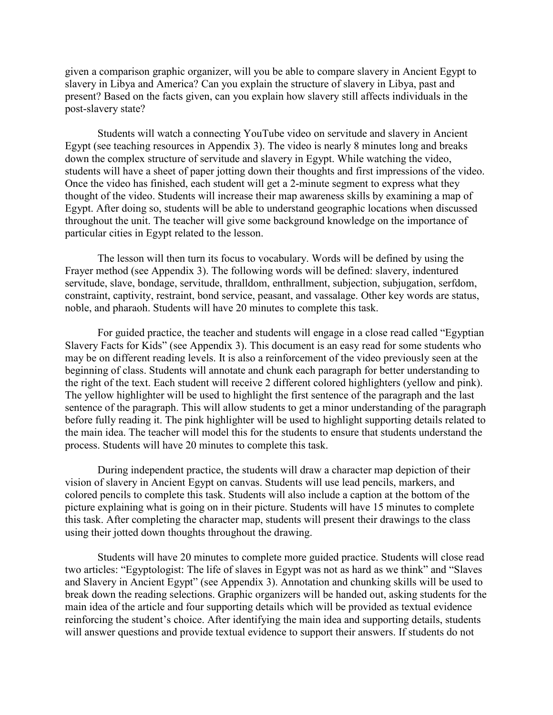given a comparison graphic organizer, will you be able to compare slavery in Ancient Egypt to slavery in Libya and America? Can you explain the structure of slavery in Libya, past and present? Based on the facts given, can you explain how slavery still affects individuals in the post-slavery state?

Students will watch a connecting YouTube video on servitude and slavery in Ancient Egypt (see teaching resources in Appendix 3). The video is nearly 8 minutes long and breaks down the complex structure of servitude and slavery in Egypt. While watching the video, students will have a sheet of paper jotting down their thoughts and first impressions of the video. Once the video has finished, each student will get a 2-minute segment to express what they thought of the video. Students will increase their map awareness skills by examining a map of Egypt. After doing so, students will be able to understand geographic locations when discussed throughout the unit. The teacher will give some background knowledge on the importance of particular cities in Egypt related to the lesson.

The lesson will then turn its focus to vocabulary. Words will be defined by using the Frayer method (see Appendix 3). The following words will be defined: slavery, indentured servitude, slave, bondage, servitude, thralldom, enthrallment, subjection, subjugation, serfdom, constraint, captivity, restraint, bond service, peasant, and vassalage. Other key words are status, noble, and pharaoh. Students will have 20 minutes to complete this task.

For guided practice, the teacher and students will engage in a close read called "Egyptian Slavery Facts for Kids" (see Appendix 3). This document is an easy read for some students who may be on different reading levels. It is also a reinforcement of the video previously seen at the beginning of class. Students will annotate and chunk each paragraph for better understanding to the right of the text. Each student will receive 2 different colored highlighters (yellow and pink). The yellow highlighter will be used to highlight the first sentence of the paragraph and the last sentence of the paragraph. This will allow students to get a minor understanding of the paragraph before fully reading it. The pink highlighter will be used to highlight supporting details related to the main idea. The teacher will model this for the students to ensure that students understand the process. Students will have 20 minutes to complete this task.

During independent practice, the students will draw a character map depiction of their vision of slavery in Ancient Egypt on canvas. Students will use lead pencils, markers, and colored pencils to complete this task. Students will also include a caption at the bottom of the picture explaining what is going on in their picture. Students will have 15 minutes to complete this task. After completing the character map, students will present their drawings to the class using their jotted down thoughts throughout the drawing.

Students will have 20 minutes to complete more guided practice. Students will close read two articles: "Egyptologist: The life of slaves in Egypt was not as hard as we think" and "Slaves and Slavery in Ancient Egypt" (see Appendix 3). Annotation and chunking skills will be used to break down the reading selections. Graphic organizers will be handed out, asking students for the main idea of the article and four supporting details which will be provided as textual evidence reinforcing the student's choice. After identifying the main idea and supporting details, students will answer questions and provide textual evidence to support their answers. If students do not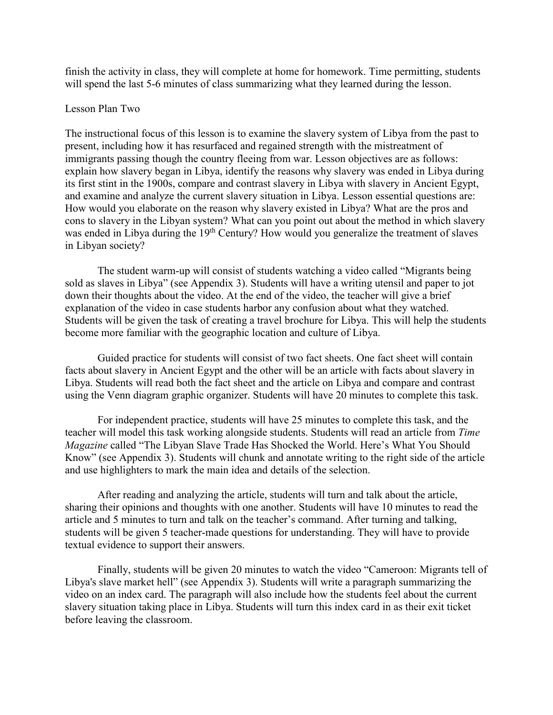finish the activity in class, they will complete at home for homework. Time permitting, students will spend the last 5-6 minutes of class summarizing what they learned during the lesson.

### Lesson Plan Two

The instructional focus of this lesson is to examine the slavery system of Libya from the past to present, including how it has resurfaced and regained strength with the mistreatment of immigrants passing though the country fleeing from war. Lesson objectives are as follows: explain how slavery began in Libya, identify the reasons why slavery was ended in Libya during its first stint in the 1900s, compare and contrast slavery in Libya with slavery in Ancient Egypt, and examine and analyze the current slavery situation in Libya. Lesson essential questions are: How would you elaborate on the reason why slavery existed in Libya? What are the pros and cons to slavery in the Libyan system? What can you point out about the method in which slavery was ended in Libya during the  $19<sup>th</sup>$  Century? How would you generalize the treatment of slaves in Libyan society?

The student warm-up will consist of students watching a video called "Migrants being sold as slaves in Libya" (see Appendix 3). Students will have a writing utensil and paper to jot down their thoughts about the video. At the end of the video, the teacher will give a brief explanation of the video in case students harbor any confusion about what they watched. Students will be given the task of creating a travel brochure for Libya. This will help the students become more familiar with the geographic location and culture of Libya.

Guided practice for students will consist of two fact sheets. One fact sheet will contain facts about slavery in Ancient Egypt and the other will be an article with facts about slavery in Libya. Students will read both the fact sheet and the article on Libya and compare and contrast using the Venn diagram graphic organizer. Students will have 20 minutes to complete this task.

For independent practice, students will have 25 minutes to complete this task, and the teacher will model this task working alongside students. Students will read an article from *Time Magazine* called "The Libyan Slave Trade Has Shocked the World. Here's What You Should Know" (see Appendix 3). Students will chunk and annotate writing to the right side of the article and use highlighters to mark the main idea and details of the selection.

After reading and analyzing the article, students will turn and talk about the article, sharing their opinions and thoughts with one another. Students will have 10 minutes to read the article and 5 minutes to turn and talk on the teacher's command. After turning and talking, students will be given 5 teacher-made questions for understanding. They will have to provide textual evidence to support their answers.

Finally, students will be given 20 minutes to watch the video "Cameroon: Migrants tell of Libya's slave market hell" (see Appendix 3). Students will write a paragraph summarizing the video on an index card. The paragraph will also include how the students feel about the current slavery situation taking place in Libya. Students will turn this index card in as their exit ticket before leaving the classroom.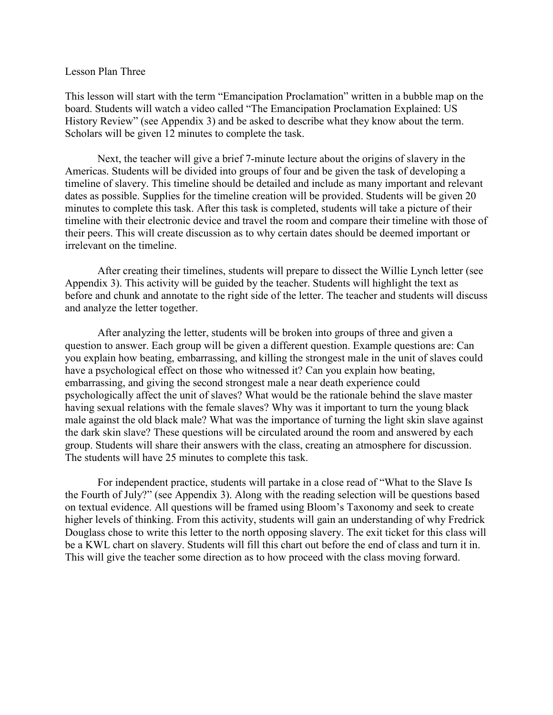#### Lesson Plan Three

This lesson will start with the term "Emancipation Proclamation" written in a bubble map on the board. Students will watch a video called "The Emancipation Proclamation Explained: US History Review" (see Appendix 3) and be asked to describe what they know about the term. Scholars will be given 12 minutes to complete the task.

Next, the teacher will give a brief 7-minute lecture about the origins of slavery in the Americas. Students will be divided into groups of four and be given the task of developing a timeline of slavery. This timeline should be detailed and include as many important and relevant dates as possible. Supplies for the timeline creation will be provided. Students will be given 20 minutes to complete this task. After this task is completed, students will take a picture of their timeline with their electronic device and travel the room and compare their timeline with those of their peers. This will create discussion as to why certain dates should be deemed important or irrelevant on the timeline.

After creating their timelines, students will prepare to dissect the Willie Lynch letter (see Appendix 3). This activity will be guided by the teacher. Students will highlight the text as before and chunk and annotate to the right side of the letter. The teacher and students will discuss and analyze the letter together.

After analyzing the letter, students will be broken into groups of three and given a question to answer. Each group will be given a different question. Example questions are: Can you explain how beating, embarrassing, and killing the strongest male in the unit of slaves could have a psychological effect on those who witnessed it? Can you explain how beating, embarrassing, and giving the second strongest male a near death experience could psychologically affect the unit of slaves? What would be the rationale behind the slave master having sexual relations with the female slaves? Why was it important to turn the young black male against the old black male? What was the importance of turning the light skin slave against the dark skin slave? These questions will be circulated around the room and answered by each group. Students will share their answers with the class, creating an atmosphere for discussion. The students will have 25 minutes to complete this task.

For independent practice, students will partake in a close read of "What to the Slave Is the Fourth of July?" (see Appendix 3). Along with the reading selection will be questions based on textual evidence. All questions will be framed using Bloom's Taxonomy and seek to create higher levels of thinking. From this activity, students will gain an understanding of why Fredrick Douglass chose to write this letter to the north opposing slavery. The exit ticket for this class will be a KWL chart on slavery. Students will fill this chart out before the end of class and turn it in. This will give the teacher some direction as to how proceed with the class moving forward.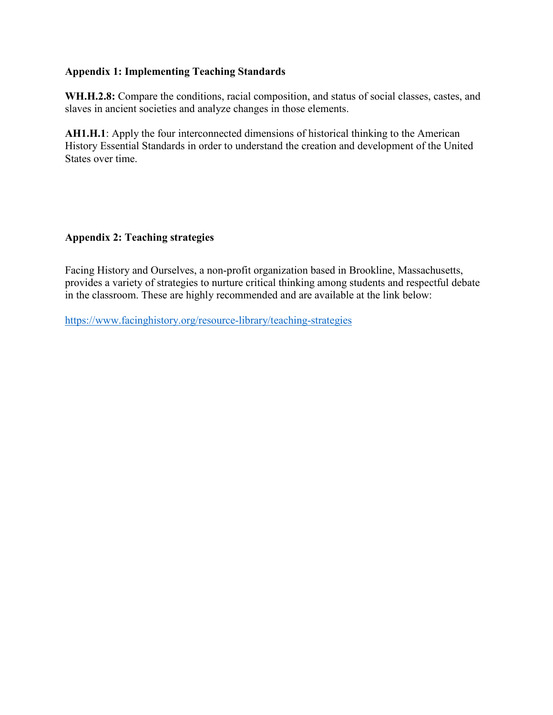# <span id="page-10-0"></span>**Appendix 1: Implementing Teaching Standards**

**WH.H.2.8:** Compare the conditions, racial composition, and status of social classes, castes, and slaves in ancient societies and analyze changes in those elements.

**AH1.H.1**: Apply the four interconnected dimensions of historical thinking to the American History Essential Standards in order to understand the creation and development of the United States over time.

# **Appendix 2: Teaching strategies**

Facing History and Ourselves, a non-profit organization based in Brookline, Massachusetts, provides a variety of strategies to nurture critical thinking among students and respectful debate in the classroom. These are highly recommended and are available at the link below:

<https://www.facinghistory.org/resource-library/teaching-strategies>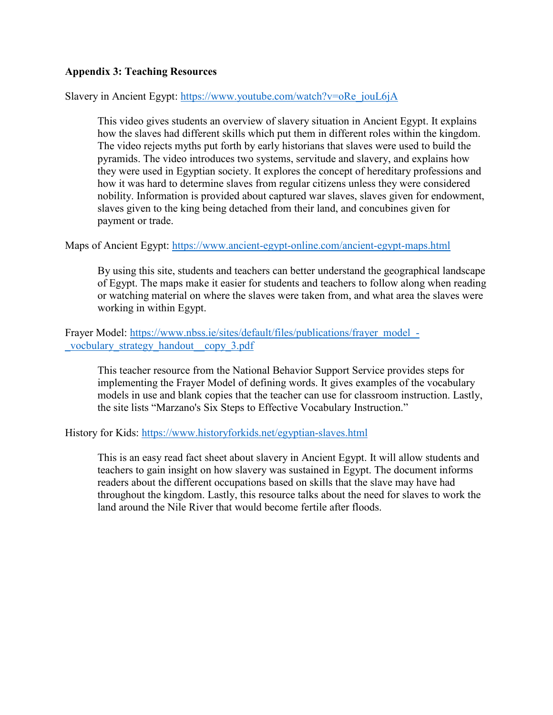# **Appendix 3: Teaching Resources**

Slavery in Ancient Egypt: [https://www.youtube.com/watch?v=oRe\\_jouL6jA](https://www.youtube.com/watch?v=oRe_jouL6jA)

This video gives students an overview of slavery situation in Ancient Egypt. It explains how the slaves had different skills which put them in different roles within the kingdom. The video rejects myths put forth by early historians that slaves were used to build the pyramids. The video introduces two systems, servitude and slavery, and explains how they were used in Egyptian society. It explores the concept of hereditary professions and how it was hard to determine slaves from regular citizens unless they were considered nobility. Information is provided about captured war slaves, slaves given for endowment, slaves given to the king being detached from their land, and concubines given for payment or trade.

# Maps of Ancient Egypt:<https://www.ancient-egypt-online.com/ancient-egypt-maps.html>

By using this site, students and teachers can better understand the geographical landscape of Egypt. The maps make it easier for students and teachers to follow along when reading or watching material on where the slaves were taken from, and what area the slaves were working in within Egypt.

Frayer Model: [https://www.nbss.ie/sites/default/files/publications/frayer\\_model\\_-](https://www.nbss.ie/sites/default/files/publications/frayer_model_-_vocbulary_strategy_handout__copy_3.pdf) [\\_vocbulary\\_strategy\\_handout\\_\\_copy\\_3.pdf](https://www.nbss.ie/sites/default/files/publications/frayer_model_-_vocbulary_strategy_handout__copy_3.pdf)

This teacher resource from the National Behavior Support Service provides steps for implementing the Frayer Model of defining words. It gives examples of the vocabulary models in use and blank copies that the teacher can use for classroom instruction. Lastly, the site lists "Marzano's Six Steps to Effective Vocabulary Instruction."

History for Kids:<https://www.historyforkids.net/egyptian-slaves.html>

This is an easy read fact sheet about slavery in Ancient Egypt. It will allow students and teachers to gain insight on how slavery was sustained in Egypt. The document informs readers about the different occupations based on skills that the slave may have had throughout the kingdom. Lastly, this resource talks about the need for slaves to work the land around the Nile River that would become fertile after floods.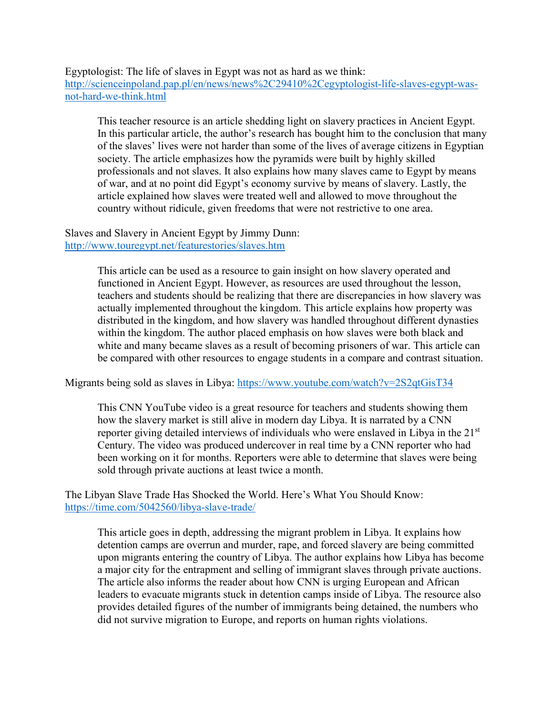Egyptologist: The life of slaves in Egypt was not as hard as we think: [http://scienceinpoland.pap.pl/en/news/news%2C29410%2Cegyptologist-life-slaves-egypt-was](http://scienceinpoland.pap.pl/en/news/news%2C29410%2Cegyptologist-life-slaves-egypt-was-not-hard-we-think.html)[not-hard-we-think.html](http://scienceinpoland.pap.pl/en/news/news%2C29410%2Cegyptologist-life-slaves-egypt-was-not-hard-we-think.html)

This teacher resource is an article shedding light on slavery practices in Ancient Egypt. In this particular article, the author's research has bought him to the conclusion that many of the slaves' lives were not harder than some of the lives of average citizens in Egyptian society. The article emphasizes how the pyramids were built by highly skilled professionals and not slaves. It also explains how many slaves came to Egypt by means of war, and at no point did Egypt's economy survive by means of slavery. Lastly, the article explained how slaves were treated well and allowed to move throughout the country without ridicule, given freedoms that were not restrictive to one area.

### Slaves and Slavery in Ancient Egypt by Jimmy Dunn: <http://www.touregypt.net/featurestories/slaves.htm>

This article can be used as a resource to gain insight on how slavery operated and functioned in Ancient Egypt. However, as resources are used throughout the lesson, teachers and students should be realizing that there are discrepancies in how slavery was actually implemented throughout the kingdom. This article explains how property was distributed in the kingdom, and how slavery was handled throughout different dynasties within the kingdom. The author placed emphasis on how slaves were both black and white and many became slaves as a result of becoming prisoners of war. This article can be compared with other resources to engage students in a compare and contrast situation.

Migrants being sold as slaves in Libya: <https://www.youtube.com/watch?v=2S2qtGisT34>

This CNN YouTube video is a great resource for teachers and students showing them how the slavery market is still alive in modern day Libya. It is narrated by a CNN reporter giving detailed interviews of individuals who were enslaved in Libya in the 21<sup>st</sup> Century. The video was produced undercover in real time by a CNN reporter who had been working on it for months. Reporters were able to determine that slaves were being sold through private auctions at least twice a month.

The Libyan Slave Trade Has Shocked the World. Here's What You Should Know: <https://time.com/5042560/libya-slave-trade/>

This article goes in depth, addressing the migrant problem in Libya. It explains how detention camps are overrun and murder, rape, and forced slavery are being committed upon migrants entering the country of Libya. The author explains how Libya has become a major city for the entrapment and selling of immigrant slaves through private auctions. The article also informs the reader about how CNN is urging European and African leaders to evacuate migrants stuck in detention camps inside of Libya. The resource also provides detailed figures of the number of immigrants being detained, the numbers who did not survive migration to Europe, and reports on human rights violations.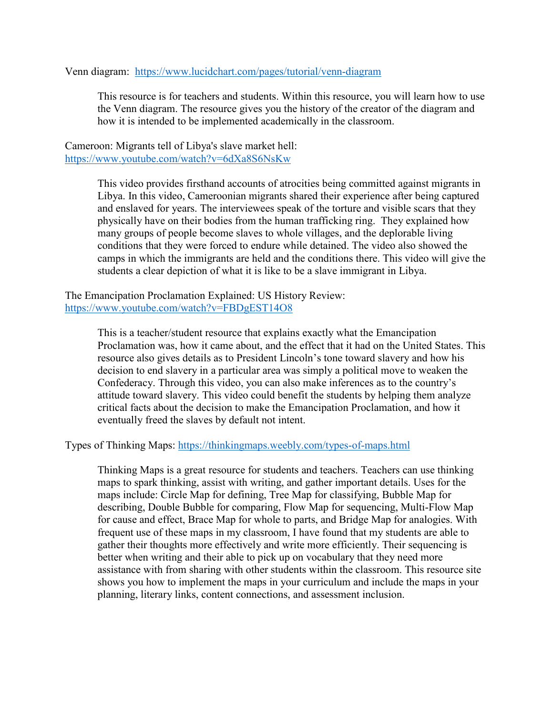Venn diagram: <https://www.lucidchart.com/pages/tutorial/venn-diagram>

This resource is for teachers and students. Within this resource, you will learn how to use the Venn diagram. The resource gives you the history of the creator of the diagram and how it is intended to be implemented academically in the classroom.

Cameroon: Migrants tell of Libya's slave market hell: <https://www.youtube.com/watch?v=6dXa8S6NsKw>

> This video provides firsthand accounts of atrocities being committed against migrants in Libya. In this video, Cameroonian migrants shared their experience after being captured and enslaved for years. The interviewees speak of the torture and visible scars that they physically have on their bodies from the human trafficking ring. They explained how many groups of people become slaves to whole villages, and the deplorable living conditions that they were forced to endure while detained. The video also showed the camps in which the immigrants are held and the conditions there. This video will give the students a clear depiction of what it is like to be a slave immigrant in Libya.

The Emancipation Proclamation Explained: US History Review: <https://www.youtube.com/watch?v=FBDgEST14O8>

> This is a teacher/student resource that explains exactly what the Emancipation Proclamation was, how it came about, and the effect that it had on the United States. This resource also gives details as to President Lincoln's tone toward slavery and how his decision to end slavery in a particular area was simply a political move to weaken the Confederacy. Through this video, you can also make inferences as to the country's attitude toward slavery. This video could benefit the students by helping them analyze critical facts about the decision to make the Emancipation Proclamation, and how it eventually freed the slaves by default not intent.

Types of Thinking Maps:<https://thinkingmaps.weebly.com/types-of-maps.html>

Thinking Maps is a great resource for students and teachers. Teachers can use thinking maps to spark thinking, assist with writing, and gather important details. Uses for the maps include: Circle Map for defining, Tree Map for classifying, Bubble Map for describing, Double Bubble for comparing, Flow Map for sequencing, Multi-Flow Map for cause and effect, Brace Map for whole to parts, and Bridge Map for analogies. With frequent use of these maps in my classroom, I have found that my students are able to gather their thoughts more effectively and write more efficiently. Their sequencing is better when writing and their able to pick up on vocabulary that they need more assistance with from sharing with other students within the classroom. This resource site shows you how to implement the maps in your curriculum and include the maps in your planning, literary links, content connections, and assessment inclusion.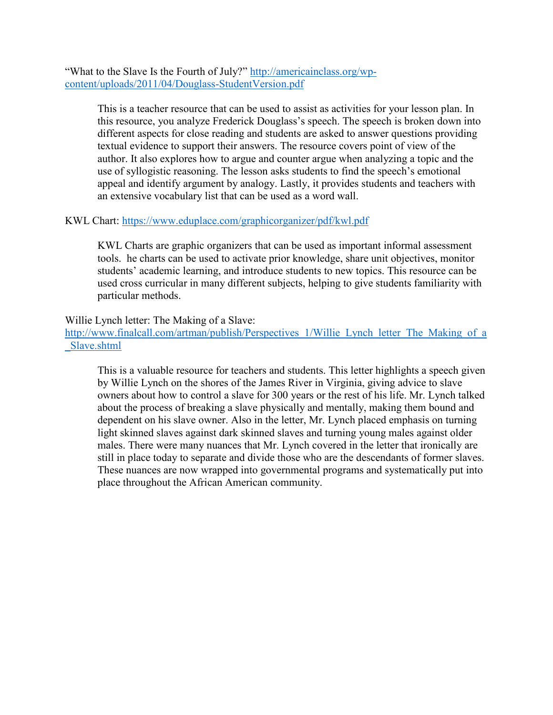"What to the Slave Is the Fourth of July?" [http://americainclass.org/wp](http://americainclass.org/wp-content/uploads/2011/04/Douglass-StudentVersion.pdf)[content/uploads/2011/04/Douglass-StudentVersion.pdf](http://americainclass.org/wp-content/uploads/2011/04/Douglass-StudentVersion.pdf)

> This is a teacher resource that can be used to assist as activities for your lesson plan. In this resource, you analyze Frederick Douglass's speech. The speech is broken down into different aspects for close reading and students are asked to answer questions providing textual evidence to support their answers. The resource covers point of view of the author. It also explores how to argue and counter argue when analyzing a topic and the use of syllogistic reasoning. The lesson asks students to find the speech's emotional appeal and identify argument by analogy. Lastly, it provides students and teachers with an extensive vocabulary list that can be used as a word wall.

# KWL Chart:<https://www.eduplace.com/graphicorganizer/pdf/kwl.pdf>

KWL Charts are graphic organizers that can be used as important informal assessment tools. he charts can be used to activate prior knowledge, share unit objectives, monitor students' academic learning, and introduce students to new topics. This resource can be used cross curricular in many different subjects, helping to give students familiarity with particular methods.

# Willie Lynch letter: The Making of a Slave:

[http://www.finalcall.com/artman/publish/Perspectives\\_1/Willie\\_Lynch\\_letter\\_The\\_Making\\_of\\_a](http://www.finalcall.com/artman/publish/Perspectives_1/Willie_Lynch_letter_The_Making_of_a_Slave.shtml) [\\_Slave.shtml](http://www.finalcall.com/artman/publish/Perspectives_1/Willie_Lynch_letter_The_Making_of_a_Slave.shtml) 

This is a valuable resource for teachers and students. This letter highlights a speech given by Willie Lynch on the shores of the James River in Virginia, giving advice to slave owners about how to control a slave for 300 years or the rest of his life. Mr. Lynch talked about the process of breaking a slave physically and mentally, making them bound and dependent on his slave owner. Also in the letter, Mr. Lynch placed emphasis on turning light skinned slaves against dark skinned slaves and turning young males against older males. There were many nuances that Mr. Lynch covered in the letter that ironically are still in place today to separate and divide those who are the descendants of former slaves. These nuances are now wrapped into governmental programs and systematically put into place throughout the African American community.